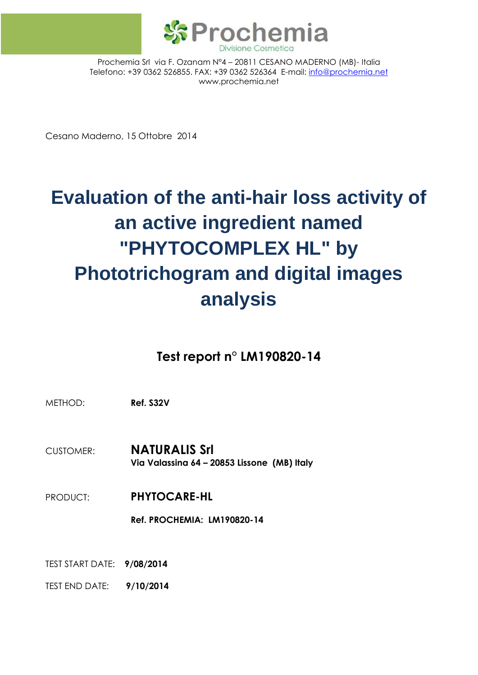

Prochemia Srl via F. Ozanam N°4 – 20811 CESANO MADERNO (MB)- Italia Telefono: +39 0362 526855. FAX: +39 0362 526364 E-mail: [info@prochemia.net](mailto:info@prochemia.net) www.prochemia.net

Cesano Maderno, 15 Ottobre 2014

# **Evaluation of the anti-hair loss activity of an active ingredient named "PHYTOCOMPLEX HL" by Phototrichogram and digital images analysis**

# **Test report n° LM190820-14**

METHOD: **Ref. S32V**

CUSTOMER: **NATURALIS Srl Via Valassina 64 – 20853 Lissone (MB) Italy**

PRODUCT: **PHYTOCARE-HL**

**Ref. PROCHEMIA: LM190820-14**

TEST START DATE: **9/08/2014**

TEST END DATE: **9/10/2014**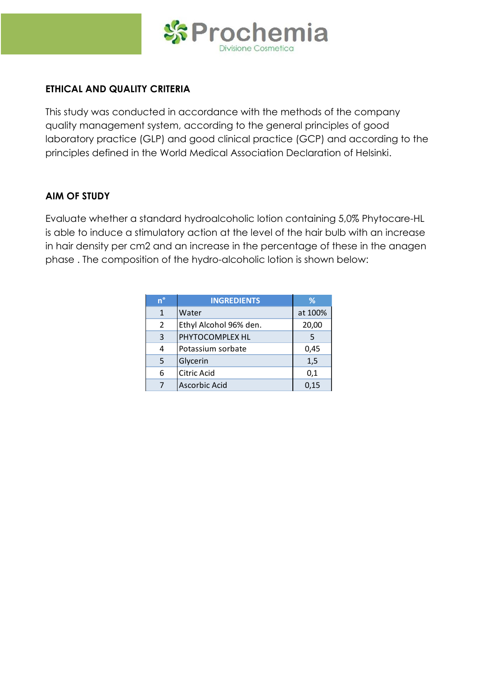

#### **ETHICAL AND QUALITY CRITERIA**

This study was conducted in accordance with the methods of the company quality management system, according to the general principles of good laboratory practice (GLP) and good clinical practice (GCP) and according to the principles defined in the World Medical Association Declaration of Helsinki.

#### **AIM OF STUDY**

Evaluate whether a standard hydroalcoholic lotion containing 5,0% Phytocare-HL is able to induce a stimulatory action at the level of the hair bulb with an increase in hair density per cm2 and an increase in the percentage of these in the anagen phase . The composition of the hydro-alcoholic lotion is shown below:

| $n^{\circ}$   | <b>INGREDIENTS</b>     | %       |
|---------------|------------------------|---------|
| $\mathbf{1}$  | Water                  | at 100% |
| $\mathcal{P}$ | Ethyl Alcohol 96% den. | 20,00   |
| 3             | PHYTOCOMPLEX HL        | 5       |
| 4             | Potassium sorbate      | 0,45    |
| 5             | Glycerin               | 1,5     |
| 6             | <b>Citric Acid</b>     | 0,1     |
|               | <b>Ascorbic Acid</b>   | 0,15    |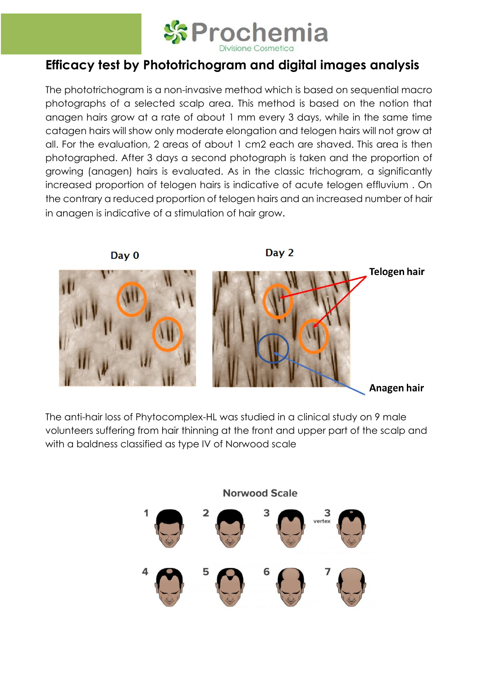

# **Efficacy test by Phototrichogram and digital images analysis**

The phototrichogram is a non-invasive method which is based on sequential macro photographs of a selected scalp area. This method is based on the notion that anagen hairs grow at a rate of about 1 mm every 3 days, while in the same time catagen hairs will show only moderate elongation and telogen hairs will not grow at all. For the evaluation, 2 areas of about 1 cm2 each are shaved. This area is then photographed. After 3 days a second photograph is taken and the proportion of growing (anagen) hairs is evaluated. As in the classic trichogram, a significantly increased proportion of telogen hairs is indicative of acute telogen effluvium . On the contrary a reduced proportion of telogen hairs and an increased number of hair in anagen is indicative of a stimulation of hair grow.



The anti-hair loss of Phytocomplex-HL was studied in a clinical study on 9 male volunteers suffering from hair thinning at the front and upper part of the scalp and with a baldness classified as type IV of Norwood scale

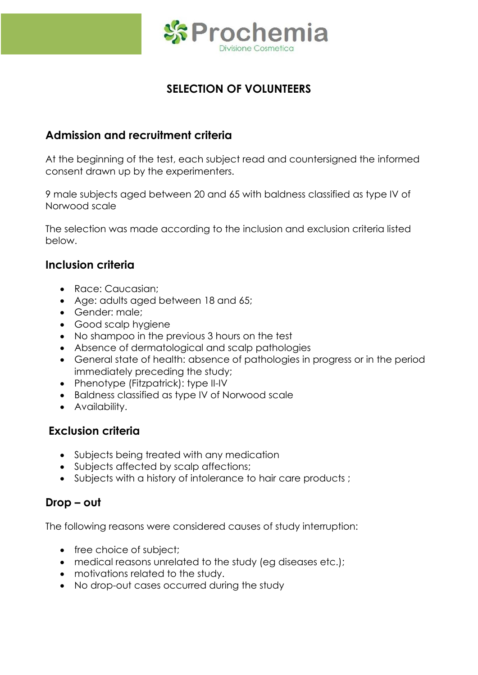

# **SELECTION OF VOLUNTEERS**

# **Admission and recruitment criteria**

At the beginning of the test, each subject read and countersigned the informed consent drawn up by the experimenters.

9 male subjects aged between 20 and 65 with baldness classified as type IV of Norwood scale

The selection was made according to the inclusion and exclusion criteria listed below.

#### **Inclusion criteria**

- Race: Caucasian;
- Age: adults aged between 18 and 65;
- Gender: male;
- Good scalp hygiene
- No shampoo in the previous 3 hours on the test
- Absence of dermatological and scalp pathologies
- General state of health: absence of pathologies in progress or in the period immediately preceding the study;
- Phenotype (Fitzpatrick): type II-IV
- Baldness classified as type IV of Norwood scale
- Availability.

# **Exclusion criteria**

- Subjects being treated with any medication
- Subjects affected by scalp affections;
- Subjects with a history of intolerance to hair care products ;

### **Drop – out**

The following reasons were considered causes of study interruption:

- free choice of subject;
- medical reasons unrelated to the study (eg diseases etc.);
- motivations related to the study.
- No drop-out cases occurred during the study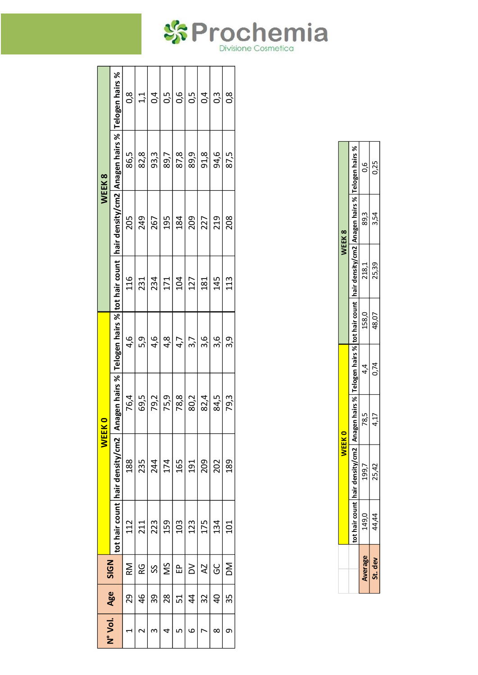|             |                                                                                                                                         | 0,8  | 1,1           | $\overline{0}$ | 0,5  | 0,6  | 0,5           | 0,4      | ი<br>0.3 | ∞<br>O |
|-------------|-----------------------------------------------------------------------------------------------------------------------------------------|------|---------------|----------------|------|------|---------------|----------|----------|--------|
| WEEK8       |                                                                                                                                         | 86,5 | 82,8          | 93,3           | 89,7 | 87,8 | 89,9          | 91,8     | 94,6     | 87,5   |
|             | tot hair count  hair density/cm2   Anagen hairs %   Telogen hairs %  tot hair count  hair density/cm2   Anagen hairs %  Telogen hairs % | 205  | 249           | 267            | 195  | 184  | 209           | 227      | 219      | 208    |
|             |                                                                                                                                         | 116  | 231           | 234            | 171  | 104  | 127           | 181      | 145      | 113    |
|             |                                                                                                                                         | 4,6  | 5,9           | 4,6            | 4,8  | 4,7  | 3,7           | 3,6      | 3,6      | 3,9    |
|             |                                                                                                                                         | 76,4 | 69,5          | 79,2           | 75,9 | 78,8 | 80,2          | 82,4     | 84,5     | 79,3   |
| <b>WEEK</b> |                                                                                                                                         | 188  | 235           | 244            | 174  | 165  | 191           | 209      | 202      | 189    |
|             |                                                                                                                                         | 112  | 211           | 223            | 159  | 103  | 123           | 175      | 134      | 101    |
| <b>SIGN</b> |                                                                                                                                         | RM   | RG            | SS             | ŠM   | £ء   | $\geq$        | <b>Z</b> | ပ<br>၁   | MQ     |
|             | Age                                                                                                                                     | 29   | $\frac{4}{6}$ | 39             | 28   | 51   | $\frac{4}{3}$ | 32       | 9        | 35     |
| N° Vol.     |                                                                                                                                         |      |               | 3              |      |      | م             |          | ∞        | თ      |

|          |                                                                                                                            | WEEK0     |      |       |       | WEEK8 |      |
|----------|----------------------------------------------------------------------------------------------------------------------------|-----------|------|-------|-------|-------|------|
|          | hair density/cm2   Anagen hairs %   Telogen hairs %   tot hair count   hair density/cm2   Anagen hairs %   Telogen hairs % |           |      |       |       |       |      |
| بر<br>49 | 199,7                                                                                                                      | 78.5<br>7 | 4.4  | 158,0 | 218,1 | 89,3  | 9.0  |
|          | 25,42                                                                                                                      | 4.17      | 0.74 | 48,07 | 25.39 | 3.54  | 0.25 |

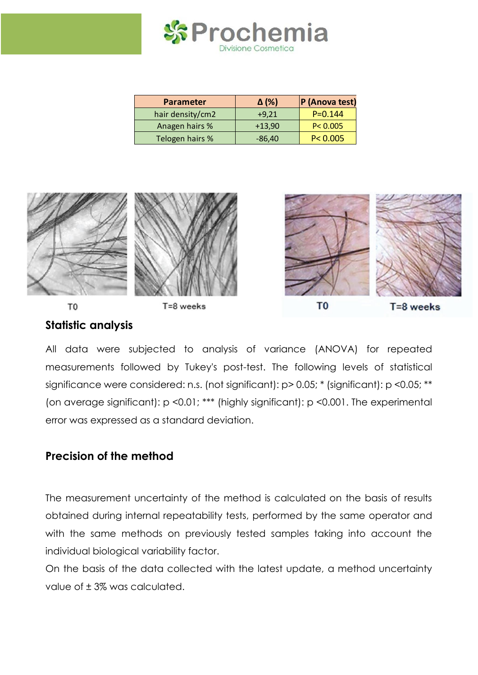

| <b>Parameter</b> | $\Delta$ (%) | P (Anova test) |
|------------------|--------------|----------------|
| hair density/cm2 | $+9,21$      | $P = 0.144$    |
| Anagen hairs %   | $+13,90$     | P < 0.005      |
| Telogen hairs %  | $-86,40$     | P < 0.005      |



# **Statistic analysis**

All data were subjected to analysis of variance (ANOVA) for repeated measurements followed by Tukey's post-test. The following levels of statistical significance were considered: n.s. (not significant): p > 0.05; \* (significant): p <0.05; \*\* (on average significant): p <0.01; \*\*\* (highly significant): p <0.001. The experimental error was expressed as a standard deviation.

# **Precision of the method**

The measurement uncertainty of the method is calculated on the basis of results obtained during internal repeatability tests, performed by the same operator and with the same methods on previously tested samples taking into account the individual biological variability factor.

On the basis of the data collected with the latest update, a method uncertainty value of ± 3% was calculated.